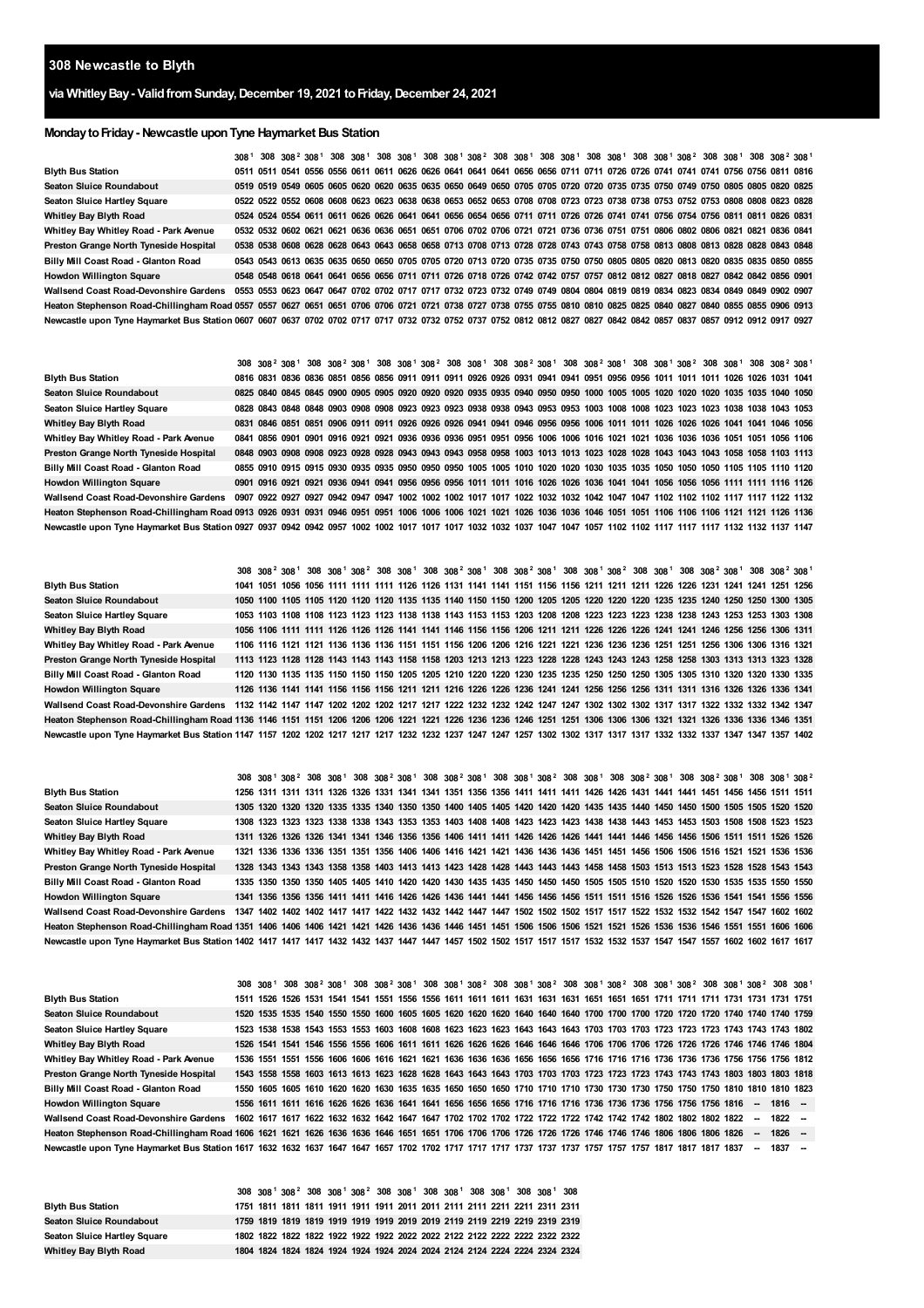## **Newcastle to Blyth**

# **via WhitleyBay- ValidfromSunday,December 19, 2021 toFriday,December 24, 2021**

### **MondaytoFriday- Newcastle uponTyne Haymarket Bus Station**

|                                                                                                                                                                                  |  | 308 <sup>1</sup> 308 308 <sup>2</sup> 308 <sup>1</sup> 308 308 <sup>1</sup> 308 308 <sup>1</sup> 308 308 <sup>1</sup> 308 <sup>2</sup> 308 308 <sup>1</sup> 308 308 <sup>1</sup> 308 308 <sup>1</sup> 308 308 <sup>1</sup> 308 308 <sup>1</sup> 308 308 <sup>1</sup> 308 308 <sup>1</sup> |  |  |  |  |  |  |  |  |  |  |  |
|----------------------------------------------------------------------------------------------------------------------------------------------------------------------------------|--|-------------------------------------------------------------------------------------------------------------------------------------------------------------------------------------------------------------------------------------------------------------------------------------------|--|--|--|--|--|--|--|--|--|--|--|
| <b>Blyth Bus Station</b>                                                                                                                                                         |  | 0511 0511 0541 0556 0556 0611 0611 0626 0626 0641 0641 0641 0656 0656 0711 0711 0726 0726 0741 0741 0741 0756 0756 0811 0816                                                                                                                                                              |  |  |  |  |  |  |  |  |  |  |  |
| <b>Seaton Sluice Roundabout</b>                                                                                                                                                  |  | 0519 0519 0549 0605 0605 0620 0620 0635 0635 0650 0649 0650 0705 0705 0720 0720 0735 0735 0750 0749 0750 0805 0805 0820 0825                                                                                                                                                              |  |  |  |  |  |  |  |  |  |  |  |
| <b>Seaton Sluice Hartley Square</b>                                                                                                                                              |  | 0522 0522 0552 0608 0608 0623 0623 0638 0638 0653 0652 0653 0708 0708 0723 0723 0738 0738 0753 0752 0753 0808 0808 0823 0828                                                                                                                                                              |  |  |  |  |  |  |  |  |  |  |  |
| Whitley Bay Blyth Road                                                                                                                                                           |  | 0524 0524 0554 0611 0611 0626 0626 0641 0641 0656 0654 0656 0711 0711 0726 0726 0741 0741 0756 0754 0756 0811 0811 0826 0831                                                                                                                                                              |  |  |  |  |  |  |  |  |  |  |  |
| Whitley Bay Whitley Road - Park Avenue                                                                                                                                           |  | 0532 0532 0602 0621 0621 0636 0636 0651 0651 0706 0702 0706 0721 0721 0736 0736 0751 0751 0806 0802 0806 0821 0821 0836 0841                                                                                                                                                              |  |  |  |  |  |  |  |  |  |  |  |
| Preston Grange North Tyneside Hospital                                                                                                                                           |  | 0538 0538 0608 0628 0628 0643 0643 0658 0658 0713 0708 0713 0728 0728 0743 0743 0758 0758 0813 0808 0813 0828 0828 0843 0848                                                                                                                                                              |  |  |  |  |  |  |  |  |  |  |  |
| Billy Mill Coast Road - Glanton Road                                                                                                                                             |  | 0543 0543 0613 0635 0635 0650 0650 0705 0705 0720 0713 0720 0735 0735 0750 0750 0805 0805 0820 0813 0820 0835 0835 0850 0855                                                                                                                                                              |  |  |  |  |  |  |  |  |  |  |  |
| <b>Howdon Willington Square</b>                                                                                                                                                  |  | 0548 0548 0618 0641 0641 0656 0656 0711 0711 0726 0718 0726 0742 0742 0757 0757 0812 0812 0827 0818 0827 0842 0842 0856 0901                                                                                                                                                              |  |  |  |  |  |  |  |  |  |  |  |
| Wallsend Coast Road-Devonshire Gardens 0553 0553 0623 0647 0647 0702 0702 0717 0717 0732 0723 0732 0749 0749 0804 0804 0819 0819 0834 0823 0834 0849 0849 0849 0902 0907         |  |                                                                                                                                                                                                                                                                                           |  |  |  |  |  |  |  |  |  |  |  |
| Heaton Stephenson Road-Chillingham Road 0557 0557 0627 0651 0651 0706 0706 0721 0721 0738 0727 0738 0755 0755 0810 0810 0825 0825 0840 0827 0840 0825 0855 0866 0913             |  |                                                                                                                                                                                                                                                                                           |  |  |  |  |  |  |  |  |  |  |  |
| Newcastle upon Tyne Haymarket Bus Station 0607 0607 0637 0702 0702 0717 0717 0732 0732 0752 0752 0757 0752 0812 0812 0827 0827 0842 0842 0857 0837 0857 0812 0912 0912 0917 0927 |  |                                                                                                                                                                                                                                                                                           |  |  |  |  |  |  |  |  |  |  |  |

|                                                                                                                                                                             |  |  |  |  |  |  | 308 308 <sup>2</sup> 308 <sup>1</sup> 308 308 <sup>2</sup> 308 <sup>1</sup> 308 308 <sup>1</sup> 308 <sup>2</sup> 308 308 <sup>1</sup> 308 308 <sup>2</sup> 308 <sup>3</sup> 308 308 <sup>2</sup> 308 308 <sup>1</sup> 308 308 <sup>1</sup> 308 308 <sup>1</sup> 308 308 <sup>1</sup> 308 308 <sup>1</sup> 308 308 <sup>2</sup> 308 |  |  |  |  |  |  |
|-----------------------------------------------------------------------------------------------------------------------------------------------------------------------------|--|--|--|--|--|--|-------------------------------------------------------------------------------------------------------------------------------------------------------------------------------------------------------------------------------------------------------------------------------------------------------------------------------------|--|--|--|--|--|--|
| <b>Blyth Bus Station</b>                                                                                                                                                    |  |  |  |  |  |  | 0816 0831 0836 0836 0851 0856 0856 0911 0911 0911 0926 0926 0931 0941 0941 0951 0956 0956 1011 1011 1011 1026 1026 1031 1041                                                                                                                                                                                                        |  |  |  |  |  |  |
| <b>Seaton Sluice Roundabout</b>                                                                                                                                             |  |  |  |  |  |  | 0825 0840 0845 0845 0900 0905 0905 0920 0920 0920 0935 0935 0940 0950 0950 1000 1005 1005 1020 1020 1020 1035 1035 1040 1050                                                                                                                                                                                                        |  |  |  |  |  |  |
| <b>Seaton Sluice Hartley Square</b>                                                                                                                                         |  |  |  |  |  |  | 0828 0843 0848 0848 0903 0908 0908 0923 0923 0923 0938 0938 0943 0953 0953 1003 1008 1008 1023 1023 1023 1038 1038 1043 1053                                                                                                                                                                                                        |  |  |  |  |  |  |
| Whitley Bay Blyth Road                                                                                                                                                      |  |  |  |  |  |  | 0831 0846 0851 0851 0906 0911 0911 0926 0926 0926 0941 0941 0946 0956 0956 1006 1011 1011 1026 1026 1026 1041 1041 1046 1056                                                                                                                                                                                                        |  |  |  |  |  |  |
| Whitley Bay Whitley Road - Park Avenue                                                                                                                                      |  |  |  |  |  |  | 0841 0856 0901 0901 0916 0921 0926 0936 0936 0936 0951 0951 0956 1006 1006 1016 1021 1021 1036 1036 1036 1051 1056 1106                                                                                                                                                                                                             |  |  |  |  |  |  |
| Preston Grange North Tyneside Hospital                                                                                                                                      |  |  |  |  |  |  | 0848 0903 0908 0908 0923 0928 0928 0943 0943 0943 0958 0958 1003 1013 1013 1023 1028 1028 1043 1043 1043 1058 1058 1103 1113                                                                                                                                                                                                        |  |  |  |  |  |  |
| Billy Mill Coast Road - Glanton Road                                                                                                                                        |  |  |  |  |  |  |                                                                                                                                                                                                                                                                                                                                     |  |  |  |  |  |  |
| <b>Howdon Willington Square</b>                                                                                                                                             |  |  |  |  |  |  | 0901 0916 0921 0921 0936 0941 0946 0956 0956 0956 1011 1011 1016 1026 1026 1036 1041 1041 1056 1056 1056 1111 1111 1116 1126                                                                                                                                                                                                        |  |  |  |  |  |  |
| Wallsend Coast Road-Devonshire Gardens 0907 0922 0927 0942 0947 0947 1002 1002 1002 1017 1017 1022 1032 1032 1042 1047 1047 1102 1102 1102 1117 1117 1122 1132              |  |  |  |  |  |  |                                                                                                                                                                                                                                                                                                                                     |  |  |  |  |  |  |
| Heaton Stephenson Road-Chillingham Road 0913 0926 0931 0931 0946 0951 0951 1006 1006 1006 1021 1021 1026 1036 1036 1046 1051 1051 1106 1106 1106 1106 1121 1121 1126 1136   |  |  |  |  |  |  |                                                                                                                                                                                                                                                                                                                                     |  |  |  |  |  |  |
| Newcastle upon Tyne Haymarket Bus Station 0927 0937 0942 0942 0957 1002 1002 1017 1017 1017 1032 1032 1037 1047 1047 1057 1102 1102 1117 1117 1117 1112 1132 1132 1137 1147 |  |  |  |  |  |  |                                                                                                                                                                                                                                                                                                                                     |  |  |  |  |  |  |

|  |  |  |  |  |  |  |  |  |  |  |  | 308 308 <sup>2</sup> 308 <sup>1</sup> 308 308 <sup>1</sup> 308 <sup>2</sup> 308 308 <sup>1</sup> 308 308 <sup>2</sup> 308 <sup>1</sup> 308 308 <sup>2</sup> 308 <sup>1</sup> 308 308 <sup>1</sup> 308 308 <sup>2</sup> 308 308 <sup>1</sup> 308 308 <sup>2</sup> 308 <sup>2</sup> 308 308 <sup>2</sup> 308 308 <sup>2</sup> 308<br>1050 1100 1105 1105 1120 1120 1120 1135 1135 1140 1150 1150 1200 1205 1205 1220 1220 1230 1235 1235 1240 1250 1250 1300 1305<br>1053 1103 1108 1108 1123 1123 1123 1138 1138 1143 1153 1153 1203 1208 1208 1223 1223 1223 1238 1238 1243 1253 1253 1303 1308<br>1106 1116 1121 1121 1136 1136 1136 1151 1151 1156 1206 1206 1216 1221 1221 1236 1236 1236 1251 1251 1256 1306 1306 1316 1321<br>1113 1123 1128 1128 1143 1143 1143 1158 1158 1203 1213 1213 1223 1228 1228 1243 1243 1243 1258 1258 1303 1313 1313 1323 1328<br>1120 1130 1135 1135 1150 1150 1150 1205 1205 1210 1220 1230 1230 1235 1235 1250 1250 1250 1305 1310 1320 1320 1330 1335<br>Wallsend Coast Road-Devonshire Gardens   1132  1142  1147  1147  1202  1202  1202  1217  1217  1222  1232  1232  1242  1242  1247  1302  1302  1302  1317  1317  1317  1322  1332  1342  1347<br>Heaton Stephenson Road-Chillingham Road 1136 1146 1151 1151 1206 1206 1206 1221 1221 1226 1236 1236 1246 1251 1251 1306 1306 1306 1306 1321 1321 1326 1336 1336 1346 1351<br>Newcastle upon Tyne Haymarket Bus Station 1147 1157 1202 1202 1217 1217 1217 1232 1232 1237 1247 1247 1257 1302 1302 1317 1317 1317 1317 1332 1332 1337 1347 1347 1347 1402 |
|--|--|--|--|--|--|--|--|--|--|--|--|---------------------------------------------------------------------------------------------------------------------------------------------------------------------------------------------------------------------------------------------------------------------------------------------------------------------------------------------------------------------------------------------------------------------------------------------------------------------------------------------------------------------------------------------------------------------------------------------------------------------------------------------------------------------------------------------------------------------------------------------------------------------------------------------------------------------------------------------------------------------------------------------------------------------------------------------------------------------------------------------------------------------------------------------------------------------------------------------------------------------------------------------------------------------------------------------------------------------------------------------------------------------------------------------------------------------------------------------------------------------------------------------------------------------------------------------------------------------------------------------------------------------------------------------------------|

|                                                                                                                                                                        |  |  |  |  |  |  | 308 308 <sup>1</sup> 308 <sup>2</sup> 308 308 <sup>1</sup> 308 308 <sup>2</sup> 308 <sup>1</sup> 308 308 <sup>2</sup> 308 <sup>1</sup> 308 308 <sup>1</sup> 308 308 <sup>2</sup> 308 308 <sup>1</sup> 308 308 <sup>2</sup> 308 <sup>1</sup> 308 308 <sup>2</sup> 308 <sup>2</sup> 308 <sup>2</sup> 308 <sup>2</sup> 308 308 <sup>2</sup> 308 308 <sup>2</sup> |  |  |  |  |  |  |
|------------------------------------------------------------------------------------------------------------------------------------------------------------------------|--|--|--|--|--|--|---------------------------------------------------------------------------------------------------------------------------------------------------------------------------------------------------------------------------------------------------------------------------------------------------------------------------------------------------------------|--|--|--|--|--|--|
| <b>Blyth Bus Station</b>                                                                                                                                               |  |  |  |  |  |  | 1256 1311 1311 1311 1326 1326 1331 1341 1341 1351 1356 1356 1411 1411 1411 1426 1426 1431 1441 1441 1451 1456 1456 1511 1511                                                                                                                                                                                                                                  |  |  |  |  |  |  |
| <b>Seaton Sluice Roundabout</b>                                                                                                                                        |  |  |  |  |  |  | 1305 1320 1320 1320 1335 1335 1340 1350 1350 1400 1405 1405 1420 1420 1420 1435 1440 1450 1450 1500 1505 1505 1520 1520                                                                                                                                                                                                                                       |  |  |  |  |  |  |
| <b>Seaton Sluice Hartley Square</b>                                                                                                                                    |  |  |  |  |  |  | 1308 1323 1323 1323 1338 1338 1343 1353 1353 1403 1408 1408 1423 1423 1423 1438 1438 1443 1453 1453 1503 1508 1508 1523 1523                                                                                                                                                                                                                                  |  |  |  |  |  |  |
| Whitley Bay Blyth Road                                                                                                                                                 |  |  |  |  |  |  |                                                                                                                                                                                                                                                                                                                                                               |  |  |  |  |  |  |
| Whitley Bay Whitley Road - Park Avenue                                                                                                                                 |  |  |  |  |  |  | 1321 1336 1336 1336 1351 1351 1356 1406 1406 1416 1421 1421 1436 1436 1436 1451 1451 1456 1506 1506 1516 1521 1521 1536 1536                                                                                                                                                                                                                                  |  |  |  |  |  |  |
| Preston Grange North Tyneside Hospital                                                                                                                                 |  |  |  |  |  |  | 1328 1343 1343 1343 1358 1358 1403 1413 1413 1423 1428 1428 1443 1443 1443 1458 1458 1503 1513 1513 1523 1528 1528 1543 1543                                                                                                                                                                                                                                  |  |  |  |  |  |  |
| Billy Mill Coast Road - Glanton Road                                                                                                                                   |  |  |  |  |  |  | 1335 1350 1350 1350 1405 1405 1410 1420 1420 1430 1435 1435 1450 1450 1450 1505 1510 1520 1520 1530 1535 1535 1550 1550                                                                                                                                                                                                                                       |  |  |  |  |  |  |
| <b>Howdon Willington Square</b>                                                                                                                                        |  |  |  |  |  |  |                                                                                                                                                                                                                                                                                                                                                               |  |  |  |  |  |  |
| Wallsend Coast Road-Devonshire Gardens 1347 1402 1402 1402 1417 1417 1422 1432 1432 1442 1447 1447 1502 1502 1502 1517 1517 1522 1532 1532 1542 1547 1547 1602 1602    |  |  |  |  |  |  |                                                                                                                                                                                                                                                                                                                                                               |  |  |  |  |  |  |
| Heaton Stephenson Road-Chillingham Road 1351 1406 1406 1406 1421 1421 1426 1436 1436 1446 1451 1506 1506 1506 1506 1521 1521 1526 1536 1536 1536 1546 1551 1506 1606   |  |  |  |  |  |  |                                                                                                                                                                                                                                                                                                                                                               |  |  |  |  |  |  |
| Newcastle upon Tyne Haymarket Bus Station 1402 1417 1417 1417 1432 1432 1437 1447 1447 1457 1502 1502 1517 1517 1517 1532 1532 1537 1547 1547 1547 1602 1602 1617 1617 |  |  |  |  |  |  |                                                                                                                                                                                                                                                                                                                                                               |  |  |  |  |  |  |

|                                                                                                                                                       |  |  |  |  |  |  | 308 308 <sup>1</sup> 308 308 <sup>2</sup> 308 308 <sup>2</sup> 308 308 <sup>2</sup> 308 308 <sup>1</sup> 308 308 <sup>2</sup> 308 308 <sup>1</sup> 308 <sup>2</sup> 308 308 <sup>1</sup> 308 <sup>2</sup> 308 308 <sup>1</sup> 308 <sup>2</sup> 308 308 <sup>1</sup> 308 <sup>2</sup> 308 308 <sup>1</sup> 308 <sup>2</sup> 308 308 <sup>1</sup> |  |  |  |  |        |          |  |
|-------------------------------------------------------------------------------------------------------------------------------------------------------|--|--|--|--|--|--|--------------------------------------------------------------------------------------------------------------------------------------------------------------------------------------------------------------------------------------------------------------------------------------------------------------------------------------------------|--|--|--|--|--------|----------|--|
| <b>Blyth Bus Station</b>                                                                                                                              |  |  |  |  |  |  |                                                                                                                                                                                                                                                                                                                                                  |  |  |  |  |        |          |  |
| <b>Seaton Sluice Roundabout</b>                                                                                                                       |  |  |  |  |  |  | 1520 1535 1535 1540 1550 1550 1600 1605 1605 1620 1620 1620 1640 1640 1640 1700 1700 1700 1720 1720 1720 1740 1740 1759                                                                                                                                                                                                                          |  |  |  |  |        |          |  |
| <b>Seaton Sluice Hartley Square</b>                                                                                                                   |  |  |  |  |  |  | 1523 1538 1538 1543 1553 1553 1603 1608 1608 1623 1623 1623 1643 1643 1643 1703 1703 1703 1723 1723 1723 1743 1743 1743 1802                                                                                                                                                                                                                     |  |  |  |  |        |          |  |
| Whitley Bay Blyth Road                                                                                                                                |  |  |  |  |  |  |                                                                                                                                                                                                                                                                                                                                                  |  |  |  |  |        |          |  |
| Whitley Bay Whitley Road - Park Avenue                                                                                                                |  |  |  |  |  |  | 1536 1551 1551 1556 1606 1606 1616 1621 1621 1636 1636 1636 1656 1656 1656 1716 1716 1716 1736 1736 1736 1756 1756 1756 1812                                                                                                                                                                                                                     |  |  |  |  |        |          |  |
| Preston Grange North Tyneside Hospital                                                                                                                |  |  |  |  |  |  | 1543 1558 1558 1603 1613 1613 1623 1628 1628 1643 1643 1643 1703 1703 1703 1723 1723 1723 1743 1743 1743 1803 1803 1803 1803                                                                                                                                                                                                                     |  |  |  |  |        |          |  |
| Billy Mill Coast Road - Glanton Road                                                                                                                  |  |  |  |  |  |  | 1550 1605 1605 1610 1620 1620 1630 1635 1635 1650 1650 1650 1710 1710 1710 1730 1730 1730 1750 1750 1750 1810 1810 1810                                                                                                                                                                                                                          |  |  |  |  |        |          |  |
| <b>Howdon Willington Square</b>                                                                                                                       |  |  |  |  |  |  | 1556 1611 1611 1616 1626 1626 1636 1641 1641 1656 1656 1656 1716 1716 1716 1736 1736 1736 1756 1756 1756 1816                                                                                                                                                                                                                                    |  |  |  |  | $\sim$ | 1816 –   |  |
| Wallsend Coast Road-Devonshire Gardens                                                                                                                |  |  |  |  |  |  | 1602 1617 1617 1622 1632 1632 1642 1647 1647 1702 1702 1702 1722 1722 1722 1742 1742 1742 1802 1802 1802 1822                                                                                                                                                                                                                                    |  |  |  |  | $\sim$ | $1822 -$ |  |
| Heaton Stephenson Road-Chillingham Road 1606 1621 1621 1626 1636 1636 1646 1651 1651 1706 1706 1706 1726 1726 1726 1746 1746 1746 1806 1806 1806 1826 |  |  |  |  |  |  |                                                                                                                                                                                                                                                                                                                                                  |  |  |  |  | $\sim$ | $1826 -$ |  |
|                                                                                                                                                       |  |  |  |  |  |  |                                                                                                                                                                                                                                                                                                                                                  |  |  |  |  | $\sim$ | $1837 -$ |  |

|                                     |  |  |  |  |  |  | 308 308 <sup>1</sup> 308 <sup>2</sup> 308 308 <sup>1</sup> 308 <sup>2</sup> 308 308 <sup>1</sup> 308 308 <sup>1</sup> 308 308 <sup>1</sup> 308 308 <sup>1</sup> 308 |                                                                            |
|-------------------------------------|--|--|--|--|--|--|---------------------------------------------------------------------------------------------------------------------------------------------------------------------|----------------------------------------------------------------------------|
| <b>Blyth Bus Station</b>            |  |  |  |  |  |  |                                                                                                                                                                     |                                                                            |
| Seaton Sluice Roundabout            |  |  |  |  |  |  |                                                                                                                                                                     |                                                                            |
| <b>Seaton Sluice Hartley Square</b> |  |  |  |  |  |  |                                                                                                                                                                     |                                                                            |
| Whitley Bay Blyth Road              |  |  |  |  |  |  |                                                                                                                                                                     | 1804 1824 1824 1824 1924 1924 1924 2024 2024 2124 2124 2224 2224 2324 2324 |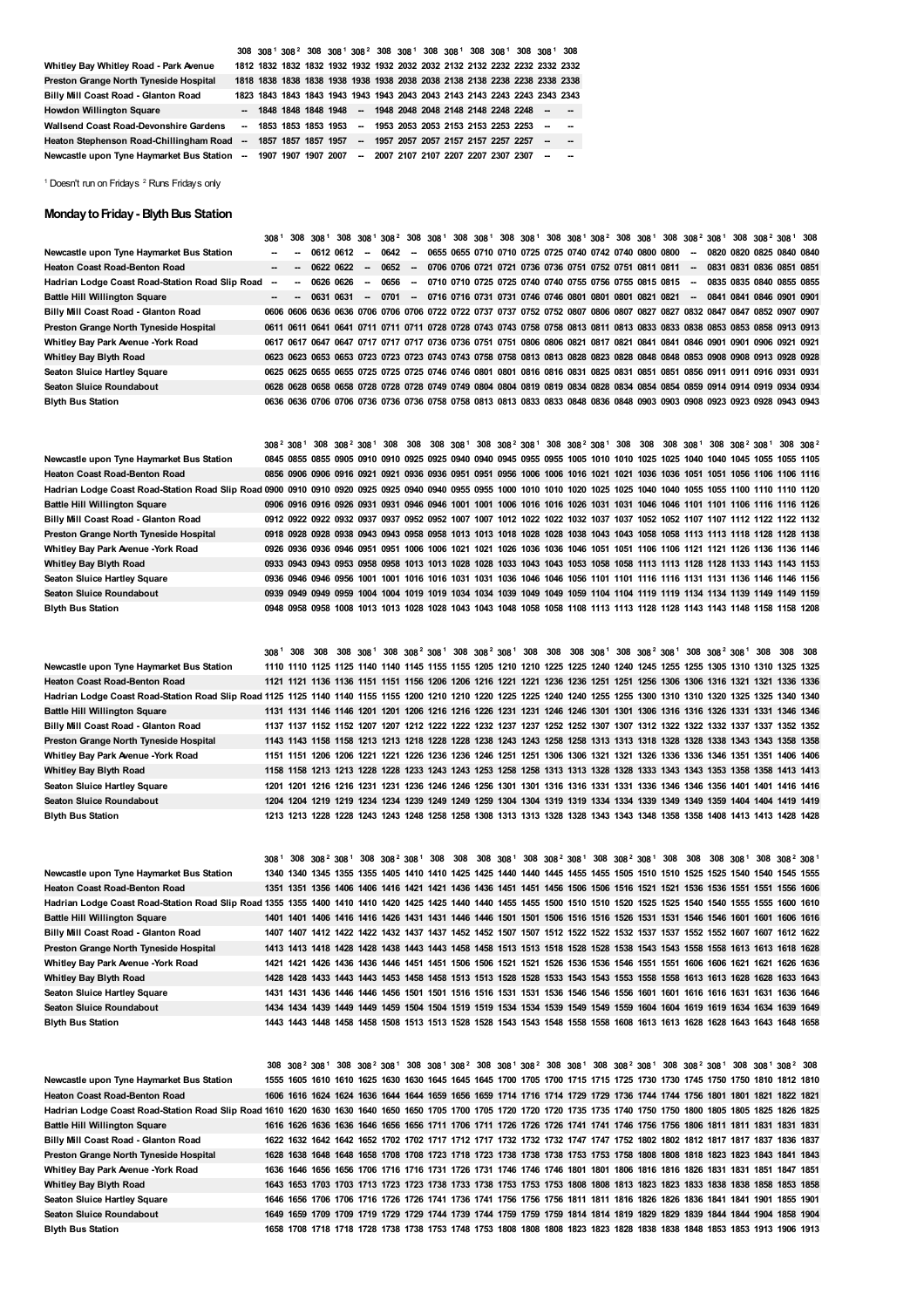|                                                                                                        |  |  |  | 308 308 <sup>1</sup> 308 <sup>2</sup> 308 308 <sup>1</sup> 308 <sup>2</sup> 308 308 <sup>1</sup> 308 308 <sup>1</sup> 308 308 <sup>1</sup> 308 308 <sup>1</sup> 308 |  |  |  |  |
|--------------------------------------------------------------------------------------------------------|--|--|--|---------------------------------------------------------------------------------------------------------------------------------------------------------------------|--|--|--|--|
| Whitley Bay Whitley Road - Park Avenue                                                                 |  |  |  |                                                                                                                                                                     |  |  |  |  |
| Preston Grange North Tyneside Hospital                                                                 |  |  |  | 1818 1838 1838 1838 1938 1938 1938 2038 2038 2138 2138 2238 2238 2338 2338                                                                                          |  |  |  |  |
| Billy Mill Coast Road - Glanton Road                                                                   |  |  |  | 1823 1843 1843 1843 1943 1943 1943 2043 2043 2143 2143 2243 2243 2343 2343                                                                                          |  |  |  |  |
| <b>Howdon Willington Square</b>                                                                        |  |  |  | -- 1848 1848 1848 1948 -- 1948 2048 2048 2148 2148 2248 2248 -- -                                                                                                   |  |  |  |  |
| <b>Wallsend Coast Road-Devonshire Gardens</b>                                                          |  |  |  | -- 1853 1853 1853 1953 -- 1953 2053 2053 2153 2153 2253 2253 -- -                                                                                                   |  |  |  |  |
| Heaton Stephenson Road-Chillingham Road -- 1857 1857 1857 1957 -- 1957 2057 2057 2157 2257 2257 -- -   |  |  |  |                                                                                                                                                                     |  |  |  |  |
| Newcastle upon Tyne Haymarket Bus Station -- 1907 1907 1907 2007 -- 2007 2107 2107 2207 2207 2307 -- - |  |  |  |                                                                                                                                                                     |  |  |  |  |

<span id="page-1-1"></span><span id="page-1-0"></span><sup>1</sup> Doesn't run on Fridays <sup>2</sup> Runs Fridays only

#### **Monday to Friday - Blyth Bus Station**

|                                                 |   |    |           |           |                |                                                                   |        |                                                        |  |  |  |  |  |                          |  | 308 <sup>1</sup> 308 308 <sup>1</sup> 308 308 <sup>1</sup> 308 <sup>2</sup> 308 308 <sup>1</sup> 308 308 <sup>1</sup> 308 308 <sup>1</sup> 308 308 <sup>1</sup> 308 308 <sup>2</sup> 308 308 <sup>1</sup> 308 308 <sup>2</sup> 308 308 <sup>2</sup> 308 308 <sup>2</sup> 308 308 <sup>2</sup> |  |
|-------------------------------------------------|---|----|-----------|-----------|----------------|-------------------------------------------------------------------|--------|--------------------------------------------------------|--|--|--|--|--|--------------------------|--|-----------------------------------------------------------------------------------------------------------------------------------------------------------------------------------------------------------------------------------------------------------------------------------------------|--|
| Newcastle upon Tyne Haymarket Bus Station       |   | -  | 0612 0612 |           | <b>Section</b> | 0642 -                                                            |        | 0655 0655 0710 0710 0725 0725 0740 0742 0740 0800 0800 |  |  |  |  |  | $\overline{\phantom{a}}$ |  | 0820 0820 0825 0840 0840                                                                                                                                                                                                                                                                      |  |
| Heaton Coast Road-Benton Road                   |   |    |           | 0622 0622 | $\sim$         | 0652                                                              | $\sim$ | 0706 0706 0721 0721 0736 0736 0751 0752 0751 0811 0811 |  |  |  |  |  | $\overline{\phantom{a}}$ |  | 0831 0831 0836 0851 0851                                                                                                                                                                                                                                                                      |  |
| Hadrian Lodge Coast Road-Station Road Slip Road | - | ۰. | 0626 0626 |           | $\sim$         | 0656                                                              | $\sim$ | 0710 0710 0725 0725 0740 0740 0755 0756 0755 0815 0815 |  |  |  |  |  | $\sim$                   |  | 0835 0835 0840 0855 0855                                                                                                                                                                                                                                                                      |  |
| <b>Battle Hill Willington Square</b>            |   | -  | 0631 0631 |           |                | -- 0701 -- 0716 0716 0731 0731 0746 0746 0801 0801 0801 0821 0821 |        |                                                        |  |  |  |  |  | $\sim$                   |  | 0841 0841 0846 0901 0901                                                                                                                                                                                                                                                                      |  |
| Billy Mill Coast Road - Glanton Road            |   |    |           |           |                |                                                                   |        |                                                        |  |  |  |  |  |                          |  | 0606 0606 0636 0636 0706 0706 0706 0722 0722 0737 0737 0752 0752 0807 0806 0807 0827 0827 0832 0847 0847 0852 0907 0907                                                                                                                                                                       |  |
| Preston Grange North Tyneside Hospital          |   |    |           |           |                |                                                                   |        |                                                        |  |  |  |  |  |                          |  | 0611 0611 0641 0641 0711 0711 0711 0728 0728 0743 0743 0758 0758 0813 0811 0813 0833 0833 0838 0853 0858 0913 0913                                                                                                                                                                            |  |
| Whitley Bay Park Avenue -York Road              |   |    |           |           |                |                                                                   |        |                                                        |  |  |  |  |  |                          |  | 0617 0617 0647 0647 0717 0717 0717 0736 0736 0751 0751 0806 0806 0821 0817 0821 0841 0841 0846 0901 0901 0906 0921 0921                                                                                                                                                                       |  |
| Whitley Bay Blyth Road                          |   |    |           |           |                |                                                                   |        |                                                        |  |  |  |  |  |                          |  | 0623 0623 0653 0653 0723 0723 0723 0743 0743 0758 0758 0813 0813 0828 0823 0828 0848 0848 0853 0908 0908 0913 0928 0928                                                                                                                                                                       |  |
| Seaton Sluice Hartley Square                    |   |    |           |           |                |                                                                   |        |                                                        |  |  |  |  |  |                          |  | 0625 0625 0655 0655 0725 0725 0725 0746 0746 0801 0801 0816 0816 0831 0825 0831 0851 0851 0856 0911 0911 0916 0931 0931                                                                                                                                                                       |  |
| Seaton Sluice Roundabout                        |   |    |           |           |                |                                                                   |        |                                                        |  |  |  |  |  |                          |  | 0628 0628 0658 0658 0728 0728 0728 0749 0749 0804 0804 0819 0819 0834 0828 0834 0854 0854 0859 0914 0914 0919 0934 0934                                                                                                                                                                       |  |
| <b>Blyth Bus Station</b>                        |   |    |           |           |                |                                                                   |        |                                                        |  |  |  |  |  |                          |  | 0636 0636 0706 0706 0736 0736 0736 0758 0758 0813 0813 0833 0833 0848 0836 0848 0903 0903 0908 0923 0923 0928 0943 0943                                                                                                                                                                       |  |
|                                                 |   |    |           |           |                |                                                                   |        |                                                        |  |  |  |  |  |                          |  |                                                                                                                                                                                                                                                                                               |  |

**Newcastle upon Tyne Haymarket Bus Station Heaton Coast Road-Benton Road** Hadrian Lodge Coast Road-Station Road Slip Road 0900 0910 0910 0920 0925 0925 0940 0940 0955 0955 1000 1010 1010 1020 1025 1025 1040 1040 1055 1055 1100 1110 1120 1220 1040 1055 1055 1040 1055 100 1110 1120 **Battle Hill Willington Square Billy Mill Coast Road - Glanton Road Preston Grange North Tyneside Hospital Whitley Bay Park Avenue -York Road Whitley Bay Blyth Road Seaton Sluice Hartley Square Seaton Sluice Roundabout Blyth Bus Station**  $308^2\ 308^1\ 308\ 308^2\ 308^1\ 308\ 308\ 308\ 308^1\ 308\ 308^2\ 308^1\ 308\ 308^2\ 308^1\ 308\ 308\ 308\ 308\ 308\ 308\ 308^1\ 308\ 308^2\ 308^1\ 308\ 308^2\$  $308^2\ 308^1\ 308\ 308^2\ 308^1\ 308\ 308\ 308\ 308^1\ 308\ 308^2\ 308^1\ 308\ 308^2\ 308^1\ 308\ 308\ 308\ 308\ 308\ 308\ 308^1\ 308\ 308^2\ 308^1\ 308\ 308^2\$  $308^2\ 308^1\ 308\ 308^2\ 308^1\ 308\ 308\ 308\ 308^1\ 308\ 308^2\ 308^1\ 308\ 308^2\ 308^1\ 308\ 308\ 308\ 308\ 308\ 308\ 308^1\ 308\ 308^2\ 308^1\ 308\ 308^2\$  $308^2\ 308^1\ 308\ 308^2\ 308^1\ 308\ 308\ 308\ 308^1\ 308\ 308^2\ 308^1\ 308\ 308^2\ 308^1\ 308\ 308\ 308\ 308\ 308\ 308\ 308^1\ 308\ 308^2\ 308^1\ 308\ 308^2\$  $308^2\ 308^1\ 308\ 308^2\ 308^1\ 308\ 308\ 308\ 308^1\ 308\ 308^2\ 308^1\ 308\ 308^2\ 308^1\ 308\ 308\ 308\ 308\ 308\ 308\ 308^1\ 308\ 308^2\ 308^1\ 308\ 308^2\$ 0845 0855 0855 0905 0910 0910 0925 0925 0940 0940 0945 0955 0955 1005 1010 1010 1025 1025 1040 1040 1045 1055 1055 1105 0856 0906 0906 0916 0921 0921 0936 0936 0951 0951 0956 1006 1006 1016 1021 1021 1036 1036 1051 1051 1056 1106 1106 1116 0906 0916 0916 0926 0931 0931 0946 0946 1001 1001 1006 1016 1016 1026 1031 1031 1046 1046 1101 1101 1106 1116 1116 1126 0912 0922 0922 0932 0937 0937 0952 0952 1007 1007 1012 1022 1022 1032 1037 1037 1052 1052 1107 1107 1112 1122 1122 1132 0918 0928 0928 0938 0943 0943 0958 0958 1013 1013 1018 1028 1028 1038 1043 1043 1058 1058 1113 1113 1118 1128 1128 1138 0926 0936 0936 0946 0951 0951 1006 1006 1021 1021 1026 1036 1036 1046 1051 1051 1106 1106 1121 1121 1126 1136 1136 1146 0933 0943 0943 0953 0958 0958 1013 1013 1028 1028 1033 1043 1043 1053 1058 1058 1113 1113 1128 1128 1133 1143 1143 1153 0936 0946 0946 0956 1001 1001 1016 1016 1031 1031 1036 1046 1046 1056 1101 1101 1116 1116 1131 1131 1136 1146 1146 1156 0939 0949 0949 0959 1004 1004 1019 1019 1034 1034 1039 1049 1049 1059 1104 1104 1119 1119 1134 1134 1139 1149 1149 1159 0948 0958 0958 1008 1013 1013 1028 1028 1043 1043 1048 1058 1058 1108 1113 1113 1128 1128 1143 1143 1148 1158 1158 1208

**Newcastle upon Tyne Haymarket Bus Station Heaton Coast Road-Benton Road Hadrian Lodge Coast Road-Station Road Slip Road 1125 1125 1140 1140 1155 1155 1200 1210 1210 1220 1225 1225 1240 1240 1255 1255 1300 1310 1310 1320 1325 1325 1340 1340 Battle Hill Willington Square Billy Mill Coast Road - Glanton Road Preston Grange North Tyneside Hospital Whitley Bay Park Avenue -York Road Whitley Bay Blyth Road Seaton Sluice Hartley Square Seaton Sluice Roundabout Blyth Bus Station** 308<sup>[1](#page-1-0)</sup> 308 308 308 308<sup>1</sup> 308 308<sup>[2](#page-1-1)</sup> 308 <sup>1</sup> 308 308<sup>2</sup> 308 <sup>1</sup> 308 308 308 308 308<sup>1</sup> 308 308<sup>2</sup> 308 308<sup>2</sup> 308 308<sup>2</sup> 308 308 308 308 1110 1110 1125 1125 1140 1140 1145 1155 1155 1205 1210 1210 1225 1225 1240 1240 1245 1255 1255 1305 1310 1310 1325 1325 1121 1121 1136 1136 1151 1151 1156 1206 1206 1216 1221 1221 1236 1236 1251 1251 1256 1306 1306 1316 1321 1321 1336 1336 1131 1131 1146 1146 1201 1201 1206 1216 1216 1226 1231 1231 1246 1246 1301 1301 1306 1316 1316 1326 1331 1331 1346 1346 1137 1137 1152 1152 1207 1207 1212 1222 1222 1232 1237 1237 1252 1252 1307 1307 1312 1322 1322 1332 1337 1337 1352 1352 1143 1143 1158 1158 1213 1213 1218 1228 1228 1238 1243 1243 1258 1258 1313 1313 1318 1328 1328 1338 1343 1343 1358 1358 1151 1151 1206 1206 1221 1221 1226 1236 1236 1246 1251 1251 1306 1306 1321 1321 1326 1336 1336 1346 1351 1351 1406 1406 1158 1158 1213 1213 1228 1228 1233 1243 1243 1253 1258 1258 1313 1313 1328 1328 1333 1343 1343 1353 1358 1358 1413 1413 1201 1201 1216 1216 1231 1231 1236 1246 1246 1256 1301 1301 1316 1316 1331 1331 1336 1346 1346 1356 1401 1401 1416 1416 1204 1204 1219 1219 1234 1234 1239 1249 1249 1259 1304 1304 1319 1319 1334 1334 1339 1349 1349 1359 1404 1404 1419 1419 1213 1213 1228 1228 1243 1243 1248 1258 1258 1308 1313 1313 1328 1328 1343 1343 1348 1358 1358 1408 1413 1413 1428 1428

**Newcastle upon Tyne Haymarket Bus Station Heaton Coast Road-Benton Road** Hadrian Lodge Coast Road-Station Road Slip Road 1355 1355 1400 1410 1410 1420 1425 1425 1440 1440 1455 1455 1500 1510 1510 1520 1525 1525 1540 1540 1555 1555 1600 1610 **Battle Hill Willington Square Billy Mill Coast Road - Glanton Road Preston Grange North Tyneside Hospital Whitley Bay Park Avenue -York Road Whitley Bay Blyth Road Seaton Sluice Hartley Square Seaton Sluice Roundabout Blyth Bus Station**  $308^{\, +}$   $308^{\, -}$   $308^{\, -}$   $308^{\, -}$   $308^{\, -}$   $308^{\, -}$   $308^{\, -}$   $308^{\, -}$   $308^{\, -}$   $308^{\, -}$   $308^{\, -}$   $308^{\, -}$   $308^{\, -}$   $308^{\, -}$   $308^{\, -}$   $308^{\, -}$   $308^{\, -}$   $308^{\, -}$   $308^{\, -}$   $308^{\, -}$  **1340 1345 1355 1355 1405 1410 1410 1425 1425 1440 1440 1445 1455 1455 1505 1510 1510 1525 1525 1540 1540 1545 1555** 1351 1351 1356 1406 1406 1416 1421 1421 1436 1436 1451 1451 1456 1506 1506 1516 1521 1521 1536 1536 1551 1551 1556 1606 1401 1401 1406 1416 1416 1426 1431 1431 1446 1446 1501 1501 1506 1516 1516 1526 1531 1531 1546 1546 1601 1601 1606 1616 1407 1407 1412 1422 1422 1432 1437 1437 1452 1452 1507 1507 1512 1522 1522 1532 1537 1537 1552 1552 1607 1607 1612 1622 1413 1413 1418 1428 1428 1438 1443 1443 1458 1458 1513 1513 1518 1528 1528 1538 1543 1543 1558 1558 1613 1613 1618 1628 1421 1421 1426 1436 1436 1446 1451 1451 1506 1506 1521 1521 1526 1536 1536 1546 1551 1551 1606 1606 1621 1621 1626 1636 1428 1428 1433 1443 1443 1453 1458 1458 1513 1513 1528 1528 1533 1543 1543 1553 1558 1558 1613 1613 1628 1628 1633 1643 1431 1431 1436 1446 1446 1456 1501 1501 1516 1516 1531 1531 1536 1546 1546 1556 1601 1601 1616 1616 1631 1631 1636 1646 1434 1434 1439 1449 1449 1459 1504 1504 1519 1519 1534 1534 1539 1549 1549 1559 1604 1604 1619 1619 1634 1634 1639 1649 1443 1443 1448 1458 1458 1508 1513 1513 1528 1528 1543 1543 1548 1558 1558 1608 1613 1613 1628 1628 1643 1643 1648 1658

**Newcastle upon Tyne Haymarket Bus Station Heaton Coast Road-Benton Road** Hadrian Lodge Coast Road-Station Road Slip Road 1610 1620 1630 1630 1640 1650 1650 1705 1700 1705 1720 1720 1720 1735 1735 1740 1750 1750 1800 1805 1805 1825 1825 1825 **Battle Hill Willington Square Billy Mill Coast Road - Glanton Road Preston Grange North Tyneside Hospital Whitley Bay Park Avenue -York Road Whitley Bay Blyth Road Seaton Sluice Hartley Square Seaton Sluice Roundabout Blyth Bus Station**  $308\ \ 308^2\ \ 308^1\ \ 308\ \ 308^2\ \ 308^1\ \ 308\ \ 308^1\ \ 308\ \ 208\ \ 308\ \ 308^1\ \ 308^2\ \ 308\ \ 308^1\ \ 308\ \ 308^2\ \ 308^1\ \ 308\ \ 308^2\ \ 308^1\ \ 308\ \ 308^1\ \ 308\ \ 308^1\ \ 308\ \ 308^2\ \ 308^1$  $308\ \ 308^2\ \ 308^1\ \ 308\ \ 308^2\ \ 308^1\ \ 308\ \ 308^1\ \ 308\ \ 208\ \ 308\ \ 308^1\ \ 308^2\ \ 308\ \ 308^1\ \ 308\ \ 308^2\ \ 308^1\ \ 308\ \ 308^2\ \ 308^1\ \ 308\ \ 308^1\ \ 308\ \ 308^1\ \ 308\ \ 308^2\ \ 308^1$  $308\ \ 308^2\ \ 308^1\ \ 308\ \ 308^2\ \ 308^1\ \ 308\ \ 308^1\ \ 308\ \ 208\ \ 308\ \ 308^1\ \ 308^2\ \ 308\ \ 308^1\ \ 308\ \ 308^2\ \ 308^1\ \ 308\ \ 308^2\ \ 308^1\ \ 308\ \ 308^1\ \ 308\ \ 308^1\ \ 308\ \ 308^2\ \ 308^1$  $308\ \ 308^2\ \ 308^1\ \ 308\ \ 308^2\ \ 308^1\ \ 308\ \ 308^1\ \ 308\ \ 208\ \ 308\ \ 308^1\ \ 308^2\ \ 308\ \ 308^1\ \ 308\ \ 308^2\ \ 308^1\ \ 308\ \ 308^2\ \ 308^1\ \ 308\ \ 308^1\ \ 308\ \ 308^1\ \ 308\ \ 308^2\ \ 308^1$  $308\ \ 308^2\ \ 308^1\ \ 308\ \ 308^2\ \ 308^1\ \ 308\ \ 308^1\ \ 308\ \ 208\ \ 308\ \ 308^1\ \ 308^2\ \ 308\ \ 308^1\ \ 308\ \ 308^2\ \ 308^1\ \ 308\ \ 308^2\ \ 308^1\ \ 308\ \ 308^1\ \ 308\ \ 308^1\ \ 308\ \ 308^2\ \ 308^1$ 1555 1605 1610 1610 1625 1630 1630 1645 1645 1645 1700 1705 1700 1715 1715 1725 1730 1730 1745 1750 1750 1810 1812 1810 1606 1616 1624 1624 1636 1644 1644 1659 1656 1659 1714 1716 1714 1729 1729 1736 1744 1744 1756 1801 1801 1821 1822 1821 1616 1626 1636 1636 1646 1656 1656 1711 1706 1711 1726 1726 1726 1741 1741 1746 1756 1756 1806 1811 1811 1831 1831 1831 1622 1632 1642 1642 1652 1702 1702 1717 1712 1717 1732 1732 1732 1747 1747 1752 1802 1802 1812 1817 1817 1837 1836 1837 1628 1638 1648 1648 1658 1708 1708 1723 1718 1723 1738 1738 1738 1753 1753 1758 1808 1808 1818 1823 1823 1843 1841 1843 1636 1646 1656 1656 1706 1716 1716 1731 1726 1731 1746 1746 1746 1801 1801 1806 1816 1816 1826 1831 1831 1851 1847 1851 1643 1653 1703 1703 1713 1723 1723 1738 1733 1738 1753 1753 1753 1808 1808 1813 1823 1823 1833 1838 1838 1858 1853 1858 1646 1656 1706 1706 1716 1726 1726 1741 1736 1741 1756 1756 1756 1811 1811 1816 1826 1826 1836 1841 1841 1901 1855 1901 1649 1659 1709 1709 1719 1729 1729 1744 1739 1744 1759 1759 1759 1814 1814 1819 1829 1829 1839 1844 1844 1904 1858 1904 1658 1708 1718 1718 1728 1738 1738 1753 1748 1753 1808 1808 1808 1823 1823 1828 1838 1838 1848 1853 1853 1913 1906 1913